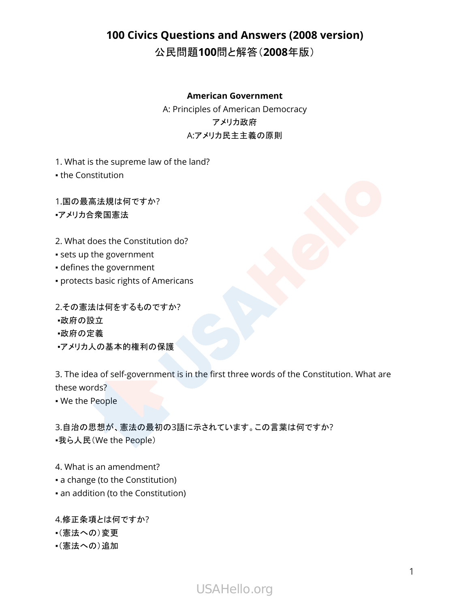# **100 Civics Questions and Answers (2008 version)**

公民問題**100**問と解答(**2008**年版)

#### **American Government**

A: Principles of American Democracy アメリカ政府 A:アメリカ民主主義の原則

1. What is the supreme law of the land?

• the Constitution

1.国の最高法規は何ですか? ▪アメリカ合衆国憲法

2. What does the Constitution do?

- sets up the government
- defines the government
- protects basic rights of Americans

2.その憲法は何をするものですか? ▪政府の設立 ▪政府の定義 •アメリカ人の基本的権利の保護

3. The idea of self-government is in the first three words of the Constitution. What are these words?

▪ We the People

3.自治の思想が、憲法の最初の3語に示されています。この言葉は何ですか? •我ら人民(We the People)

4. What is an amendment?

- a change (to the Constitution)
- an addition (to the Constitution)

4.修正条項とは何ですか?

- ▪(憲法への)変更
- ▪(憲法への)追加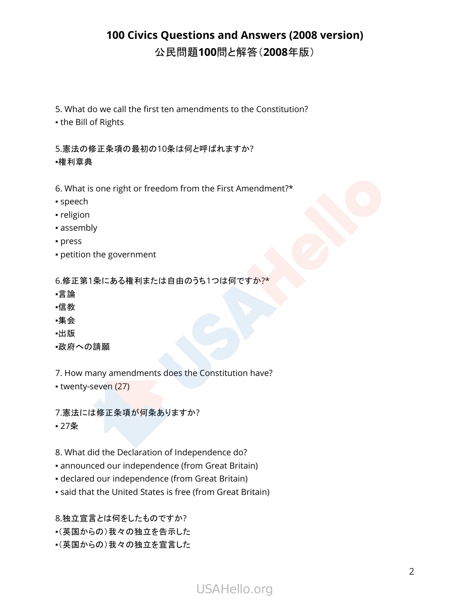5. What do we call the first ten amendments to the Constitution?

▪ the Bill of Rights

5.憲法の修正条項の最初の10条は何と呼ばれますか? ▪権利章典

6. What is one right or freedom from the First Amendment?\*

- speech
- religion
- assembly
- press
- petition the government

6.修正第1条にある権利または自由のうち1つは何ですか?\*

- ▪言論
- ▪信教
- ▪集会
- ▪出版
- ▪政府への請願

7. How many amendments does the Constitution have?

• twenty-seven (27)

7.憲法には修正条項が何条ありますか? ▪ 27条

- 8. What did the Declaration of Independence do?
- announced our independence (from Great Britain)
- declared our independence (from Great Britain)
- said that the United States is free (from Great Britain)

8.独立宣言とは何をしたものですか?

- ▪(英国からの)我々の独立を告示した
- ▪(英国からの)我々の独立を宣言した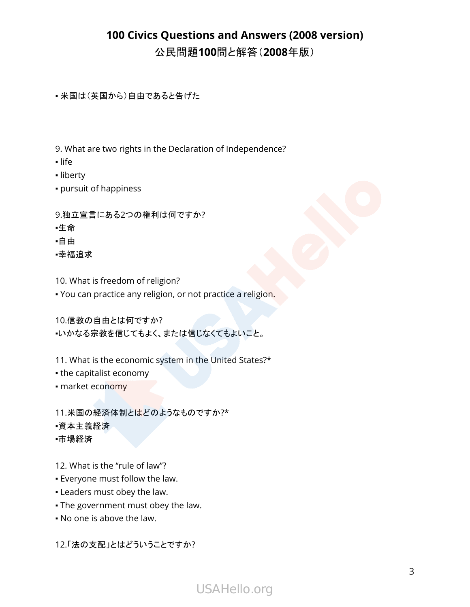• 米国は(英国から)自由であると告げた

- 9. What are two rights in the Declaration of Independence?
- life
- liberty
- pursuit of happiness
- 9.独立宣言にある2つの権利は何ですか?
- ▪生命
- ▪自由
- ▪幸福追求
- 10. What is freedom of religion?
- . You can practice any religion, or not practice a religion.

10.信教の自由とは何ですか?

▪いかなる宗教を信じてもよく、または信じなくてもよいこと。

- 11. What is the economic system in the United States?\*
- the capitalist economy
- market economy

11.米国の経済体制とはどのようなものですか?\* ▪資本主義経済 ▪市場経済

- 12. What is the "rule of law"?
- Everyone must follow the law.
- Leaders must obey the law.
- . The government must obey the law.
- No one is above the law.

12.「法の支配」とはどういうことですか?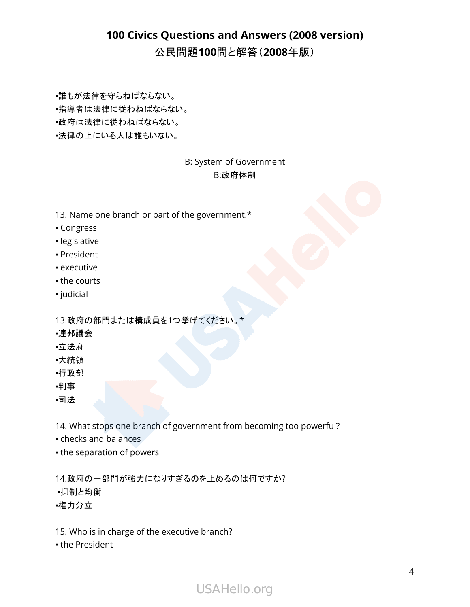▪誰もが法律を守らねばならない。

▪指導者は法律に従わねばならない。

▪政府は法律に従わねばならない。

▪法律の上にいる人は誰もいない。

#### B: System of Government B:政府体制

- 13. Name one branch or part of the government.\*
- Congress
- legislative
- President
- executive
- the courts
- judicial

13.政府の部門または構成員を1つ挙げてください。\*

- ▪連邦議会
- ▪立法府
- ▪大統領
- ▪行政部
- ▪判事
- ▪司法

14. What stops one branch of government from becoming too powerful?

- checks and balances
- **the separation of powers**

14.政府の一部門が強力になりすぎるのを止めるのは何ですか? ▪抑制と均衡 ▪権力分立

- 15. Who is in charge of the executive branch?
- the President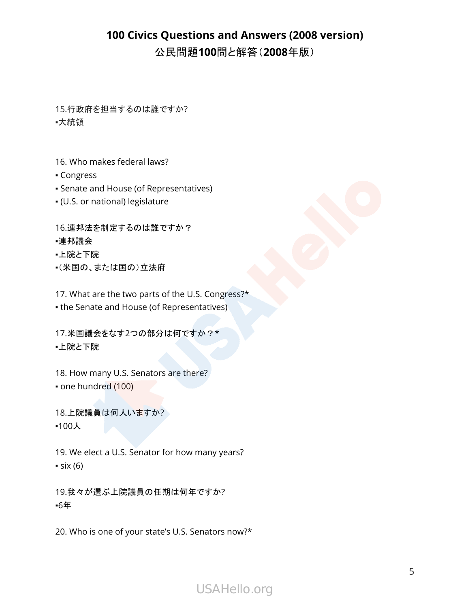15.行政府を担当するのは誰ですか? ▪大統領

16. Who makes federal laws?

▪ Congress

▪ Senate and House (of Representatives)

▪ (U.S. or national) legislature

16.連邦法を制定するのは誰ですか?

#### ▪連邦議会

- ▪上院と下院
- ▪(米国の、または国の)立法府

17. What are the two parts of the U.S. Congress?\*

• the Senate and House (of Representatives)

17.米国議会をなす2つの部分は何ですか?\* ▪上院と下院

18. How many U.S. Senators are there? • one hundred (100)

18.上院議員は何人いますか? ▪100人

19. We elect a U.S. Senator for how many years?  $\cdot$  six (6)

19.我々が選ぶ上院議員の任期は何年ですか? ▪6年

20. Who is one of your state's U.S. Senators now?\*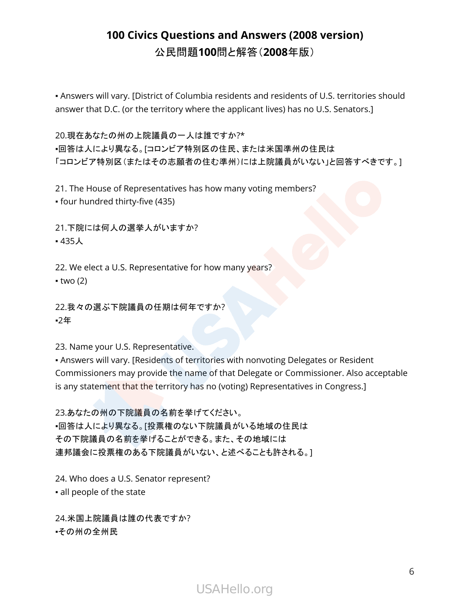• Answers will vary. [District of Columbia residents and residents of U.S. territories should answer that D.C. (or the territory where the applicant lives) has no U.S. Senators.]

20.現在あなたの州の上院議員の一人は誰ですか?\* ▪回答は人により異なる。[コロンビア特別区の住民、または米国準州の住民は 「コロンビア特別区(またはその志願者の住む準州)には上院議員がいない」と回答すべきです。]

21. The House of Representatives has how many voting members? ▪ four hundred thirty-five (435)

21.下院には何人の選挙人がいますか? ▪ 435人

22. We elect a U.S. Representative for how many years?  $-$  two (2)

22.我々の選ぶ下院議員の任期は何年ですか? ▪2年

23. Name your U.S. Representative.

▪ Answers will vary. [Residents of territories with nonvoting Delegates or Resident Commissioners may provide the name of that Delegate or Commissioner. Also acceptable is any statement that the territory has no (voting) Representatives in Congress.]

23.あなたの州の下院議員の名前を挙げてください。 ▪回答は人により異なる。[投票権のない下院議員がいる地域の住民は その下院議員の名前を挙げることができる。また、その地域には 連邦議会に投票権のある下院議員がいない、と述べることも許される。]

24. Who does a U.S. Senator represent? ▪ all people of the state

24.米国上院議員は誰の代表ですか? ▪その州の全州民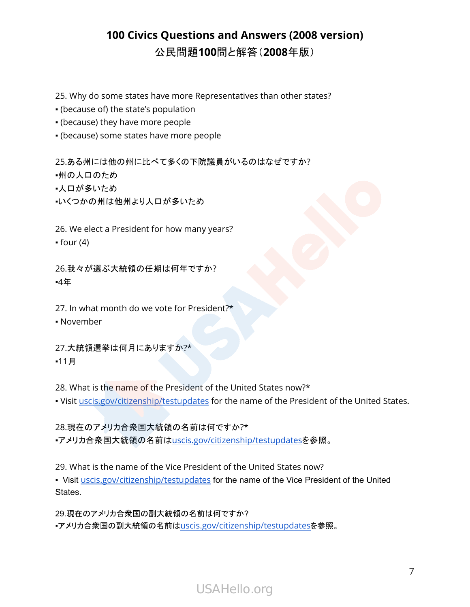- 25. Why do some states have more Representatives than other states?
- (because of) the state's population
- (because) they have more people
- (because) some states have more people

25.ある州には他の州に比べて多くの下院議員がいるのはなぜですか? ▪州の人口のため

- ▪人口が多いため
- ▪いくつかの州は他州より人口が多いため

26. We elect a President for how many years?  $•$  four (4)

26.我々が選ぶ大統領の任期は何年ですか? ▪4年

27. In what month do we vote for President?\*

▪ November

27.大統領選挙は何月にありますか?\* ▪11月

28. What is the name of the President of the United States now?\*

. Visit [uscis.gov/citizenship/testupdates](http://uscis.gov/citizenship/testupdates) for the name of the President of the United States.

28.現在のアメリカ合衆国大統領の名前は何ですか?\* ■アメリカ合衆国大統領の名前は[uscis.gov/citizenship/testupdates](http://uscis.gov/citizenship/testupdates)を参照。

29. What is the name of the Vice President of the United States now?

• Visit *[uscis.gov/citizenship/testupdates](http://uscis.gov/citizenship/testupdates)* for the name of the Vice President of the United States.

29.現在のアメリカ合衆国の副大統領の名前は何ですか? ▪アメリカ合衆国の副大統領の名前は[uscis.gov/citizenship/testupdates](http://uscis.gov/citizenship/testupdates)を参照。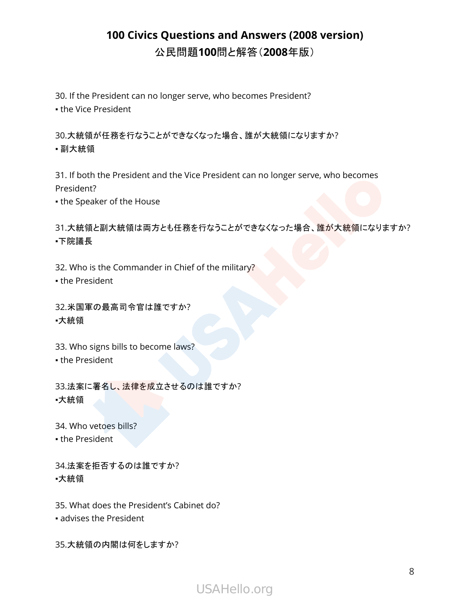30. If the President can no longer serve, who becomes President? **- the Vice President** 

30.大統領が任務を行なうことができなくなった場合、誰が大統領になりますか? ▪ 副大統領

31. If both the President and the Vice President can no longer serve, who becomes President?

**.** the Speaker of the House

31.大統領と副大統領は両方とも任務を行なうことができなくなった場合、誰が大統領になりますか? ▪下院議長

32. Who is the Commander in Chief of the military?

• the President

32.米国軍の最高司令官は誰ですか? ▪大統領

33. Who signs bills to become laws? **.** the President

33.法案に署名し、法律を成立させるのは誰ですか? ▪大統領

34. Who vetoes bills?

• the President

34.法案を拒否するのは誰ですか? ▪大統領

35. What does the President's Cabinet do?

▪ advises the President

35.大統領の内閣は何をしますか?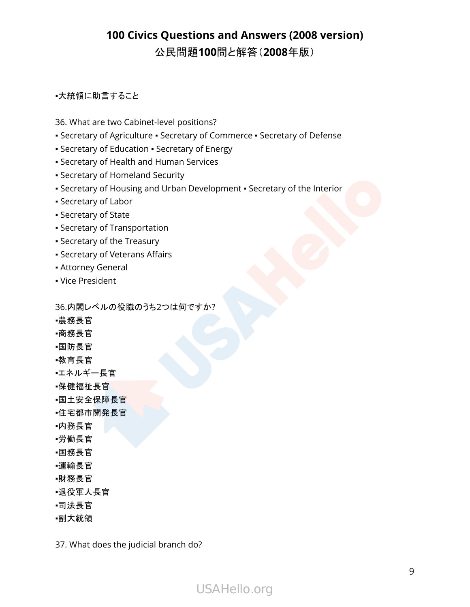#### ▪大統領に助言すること

- 36. What are two Cabinet-level positions?
- Secretary of Agriculture Secretary of Commerce Secretary of Defense
- Secretary of Education Secretary of Energy
- Secretary of Health and Human Services
- Secretary of Homeland Security
- Secretary of Housing and Urban Development Secretary of the Interior
- Secretary of Labor
- Secretary of State
- Secretary of Transportation
- Secretary of the Treasury
- Secretary of Veterans Affairs
- **Attorney General**
- Vice President

36.内閣レベルの役職のうち2つは何ですか?

- ▪農務長官
- ▪商務長官
- ▪国防長官
- ▪教育長官
- ▪エネルギー長官
- •保健福祉長官
- ▪国土安全保障長官
- ▪住宅都市開発長官
- ▪内務長官
- ▪労働長官
- ▪国務長官
- ▪運輸長官
- ▪財務長官
- ▪退役軍人長官
- ▪司法長官
- ▪副大統領

37. What does the judicial branch do?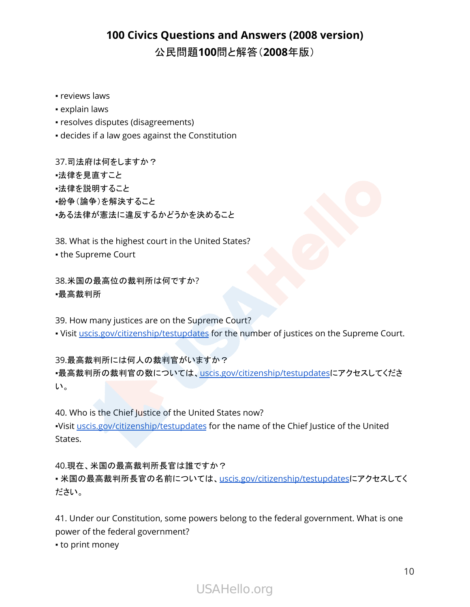- **·** reviews laws
- **explain laws**
- resolves disputes (disagreements)
- decides if a law goes against the Constitution

37.司法府は何をしますか? ▪法律を見直すこと ▪法律を説明すること ▪紛争(論争)を解決すること ▪ある法律が憲法に違反するかどうかを決めること

38. What is the highest court in the United States?

▪ the Supreme Court

38.米国の最高位の裁判所は何ですか? ▪最高裁判所

39. How many justices are on the Supreme Court?

. Visit [uscis.gov/citizenship/testupdates](http://uscis.gov/citizenship/testupdates) for the number of justices on the Supreme Court.

39.最高裁判所には何人の裁判官がいますか?

·最高裁判所の裁判官の数については、[uscis.gov/citizenship/testupdates](http://uscis.gov/citizenship/testupdates)にアクセスしてくださ い。

40. Who is the Chief Justice of the United States now? ▪Visit [uscis.gov/citizenship/testupdates](http://uscis.gov/citizenship/testupdates) for the name of the Chief Justice of the United States.

40.現在、米国の最高裁判所長官は誰ですか? · 米国の最高裁判所長官の名前については、[uscis.gov/citizenship/testupdates](http://uscis.gov/citizenship/testupdates)にアクセスしてく ださい。

41. Under our Constitution, some powers belong to the federal government. What is one power of the federal government?

• to print money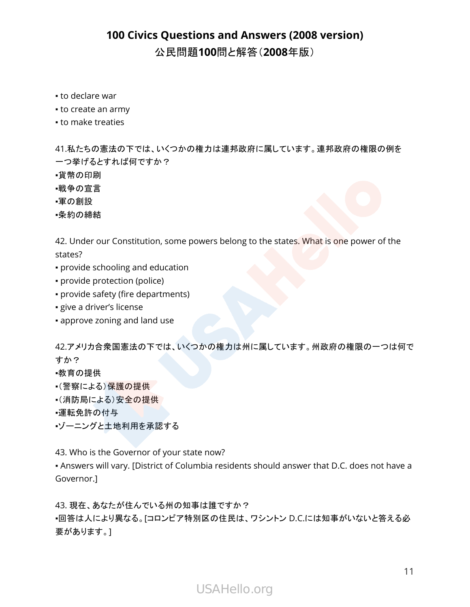- to declare war
- to create an army
- to make treaties

41.私たちの憲法の下では、いくつかの権力は連邦政府に属しています。連邦政府の権限の例を 一つ挙げるとすれば何ですか?

- ■貨幣の印刷
- ▪戦争の宣言
- ▪軍の創設
- ▪条約の締結

42. Under our Constitution, some powers belong to the states. What is one power of the states?

- provide schooling and education
- provide protection (police)
- provide safety (fire departments)
- give a driver's license
- approve zoning and land use

42.アメリカ合衆国憲法の下では、いくつかの権力は州に属しています。州政府の権限の一つは何で すか?

▪教育の提供

- •(警察による)保護の提供
- •(消防局による)安全の提供
- ■運転免許の付与
- ▪ゾーニングと土地利用を承認する

43. Who is the Governor of your state now?

▪ Answers will vary. [District of Columbia residents should answer that D.C. does not have a Governor.]

43. 現在、あなたが住んでいる州の知事は誰ですか?

▪回答は人により異なる。[コロンビア特別区の住民は、ワシントン D.C.には知事がいないと答える必 要があります。]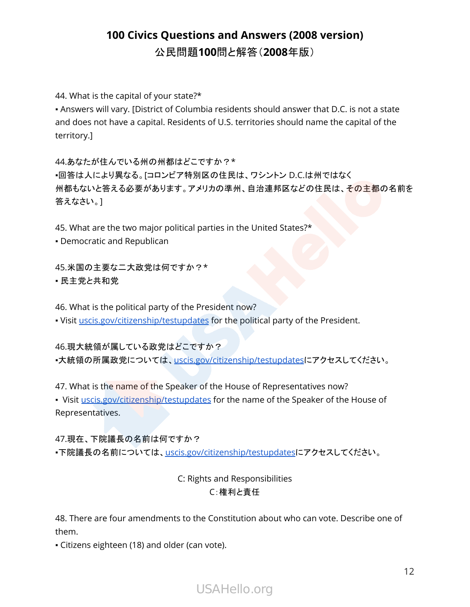44. What is the capital of your state?\*

▪ Answers will vary. [District of Columbia residents should answer that D.C. is not a state and does not have a capital. Residents of U.S. territories should name the capital of the territory.]

44.あなたが住んでいる州の州都はどこですか?\* ▪回答は人により異なる。[コロンビア特別区の住民は、ワシントン D.C.は州ではなく 州都もないと答える必要があります。アメリカの準州、自治連邦区などの住民は、その主都の名前を 答えなさい。]

45. What are the two major political parties in the United States?\*

▪ Democratic and Republican

45.米国の主要な二大政党は何ですか?\* ■ 民主党と共和党

46. What is the political party of the President now?

▪ Visit [uscis.gov/citizenship/testupdates](http://uscis.gov/citizenship/testupdates) for the political party of the President.

46.現大統領が属している政党はどこですか?

·大統領の所属政党については、[uscis.gov/citizenship/testupdates](http://uscis.gov/citizenship/testupdates)にアクセスしてください。

47. What is the name of the Speaker of the House of Representatives now?

• Visit [uscis.gov/citizenship/testupdates](http://uscis.gov/citizenship/testupdates) for the name of the Speaker of the House of Representatives.

47.現在、下院議長の名前は何ですか? ■下院議長の名前については、[uscis.gov/citizenship/testupdates](http://uscis.gov/citizenship/testupdates)にアクセスしてください。

#### C: Rights and Responsibilities C:権利と責任

48. There are four amendments to the Constitution about who can vote. Describe one of them.

▪ Citizens eighteen (18) and older (can vote).

USAHello.org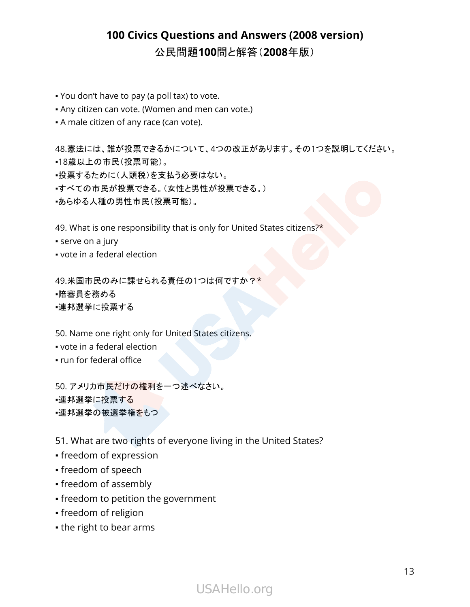- You don't have to pay (a poll tax) to vote.
- . Any citizen can vote. (Women and men can vote.)
- **-** A male citizen of any race (can vote).

48.憲法には、誰が投票できるかについて、4つの改正があります。その1つを説明してください。 ▪18歳以上の市民(投票可能)。

- ▪投票するために(人頭税)を支払う必要はない。
- ▪すべての市民が投票できる。(女性と男性が投票できる。)
- ▪あらゆる人種の男性市民(投票可能)。

49. What is one responsibility that is only for United States citizens?\*

- **·** serve on a jury
- vote in a federal election

49.米国市民のみに課せられる責任の1つは何ですか?\* ▪陪審員を務める ▪連邦選挙に投票する

50. Name one right only for United States citizens.

- vote in a federal election
- run for federal office

50. アメリカ市民だけの権利を一つ述べなさい。 ▪連邦選挙に投票する ▪連邦選挙の被選挙権をもつ

51. What are two rights of everyone living in the United States?

- freedom of expression
- freedom of speech
- freedom of assembly
- freedom to petition the government
- freedom of religion
- the right to bear arms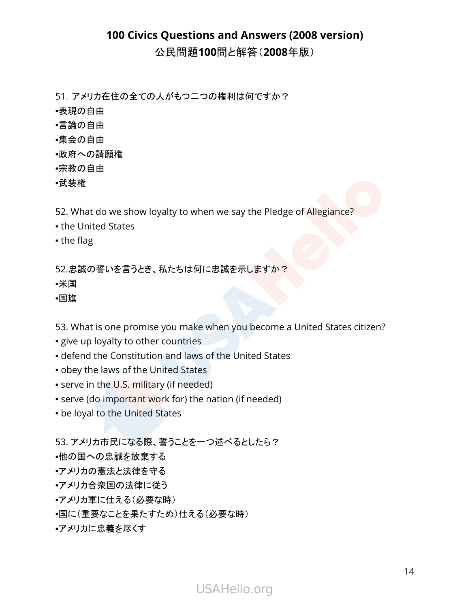# **100 Civics Questions and Answers (2008 version)**

公民問題**100**問と解答(**2008**年版)

51.アメリカ在住の全ての人がもつ二つの権利は何ですか?

- ▪表現の自由
- ▪言論の自由
- ▪集会の自由
- ▪政府への請願権
- ▪宗教の自由
- ▪武装権

52. What do we show loyalty to when we say the Pledge of Allegiance?

- the United States
- the flag

52.忠誠の誓いを言うとき、私たちは何に忠誠を示しますか?

▪米国

▪国旗

53. What is one promise you make when you become a United States citizen?

- **give up loyalty to other countries**
- defend the Constitution and laws of the United States
- obey the laws of the United States
- serve in the U.S. military (if needed)
- serve (do important work for) the nation (if needed)
- be loyal to the United States

53. アメリカ市民になる際、誓うことを一つ述べるとしたら?

▪他の国への忠誠を放棄する

- ▪アメリカの憲法と法律を守る
- ▪アメリカ合衆国の法律に従う
- •アメリカ軍に仕える(必要な時)
- ▪国に(重要なことを果たすため)仕える(必要な時)
- ▪アメリカに忠義を尽くす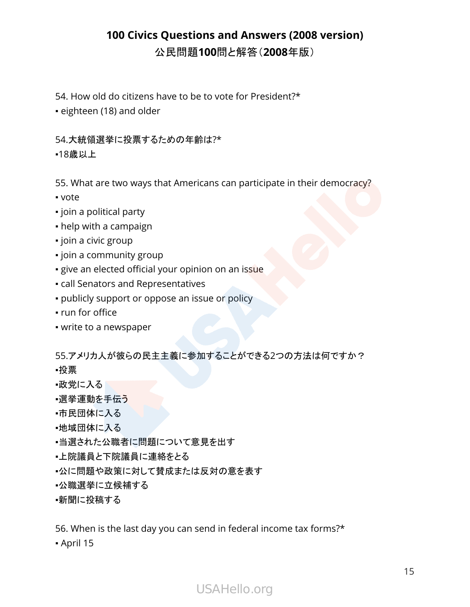- 54. How old do citizens have to be to vote for President?\*
- eighteen (18) and older

#### 54.大統領選挙に投票するための年齢は?\*

▪18歳以上

55. What are two ways that Americans can participate in their democracy?

- vote
- join a political party
- help with a campaign
- join a civic group
- join a community group
- **·** give an elected official your opinion on an issue
- call Senators and Representatives
- publicly support or oppose an issue or policy
- run for office
- write to a newspaper

55.アメリカ人が彼らの民主主義に参加することができる2つの方法は何ですか?

- ▪投票
- ▪政党に入る
- ■選挙運動を手伝う
- •市民団体に入る
- ■地域団体に入る
- ▪当選された公職者に問題について意見を出す
- •上院議員と下院議員に連絡をとる
- ▪公に問題や政策に対して賛成または反対の意を表す
- ▪公職選挙に立候補する

#### ■新聞に投稿する

56. When is the last day you can send in federal income tax forms?\*

▪ April 15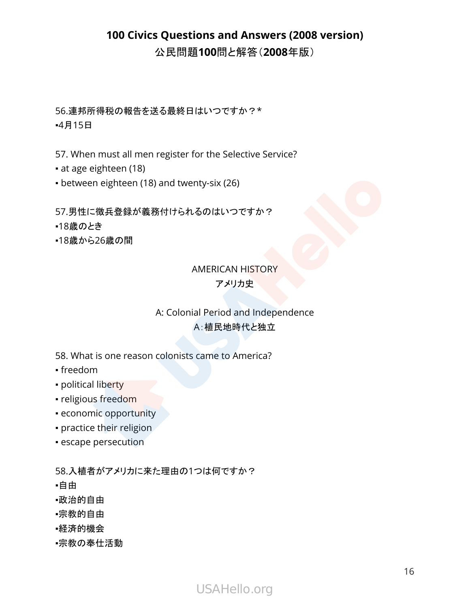56.連邦所得税の報告を送る最終日はいつですか?\* ▪4月15日

57. When must all men register for the Selective Service?

▪ at age eighteen (18)

▪ between eighteen (18) and twenty-six (26)

57.男性に徴兵登録が義務付けられるのはいつですか?

- ▪18歳のとき
- ▪18歳から26歳の間

#### AMERICAN HISTORY アメリカ史

#### A: Colonial Period and Independence A:植民地時代と独立

58. What is one reason colonists came to America?

- freedom
- political liberty
- religious freedom
- economic opportunity
- **practice their religion**
- **escape persecution**

58.入植者がアメリカに来た理由の1つは何ですか?

- ▪自由
- ▪政治的自由
- ▪宗教的自由
- ▪経済的機会
- ▪宗教の奉仕活動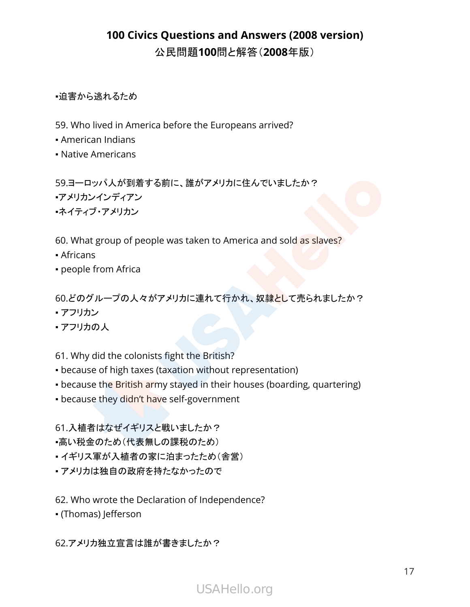▪迫害から逃れるため

- 59. Who lived in America before the Europeans arrived?
- American Indians
- Native Americans

59.ヨーロッパ人が到着する前に、誰がアメリカに住んでいましたか? ▪アメリカンインディアン ▪ネイティブ・アメリカン

60. What group of people was taken to America and sold as slaves?

- Africans
- people from Africa

60.どのグループの人々がアメリカに連れて行かれ、奴隷として売られましたか?

- アフリカン
- アフリカの人

61. Why did the colonists fight the British?

- because of high taxes (taxation without representation)
- because the British army stayed in their houses (boarding, quartering)
- because they didn't have self-government

61.入植者はなぜイギリスと戦いましたか?

- •高い税金のため(代表無しの課税のため)
- イギリス軍が入植者の家に泊まったため(舎営)
- アメリカは独自の政府を持たなかったので
- 62. Who wrote the Declaration of Independence?
- (Thomas) Jefferson

62.アメリカ独立宣言は誰が書きましたか?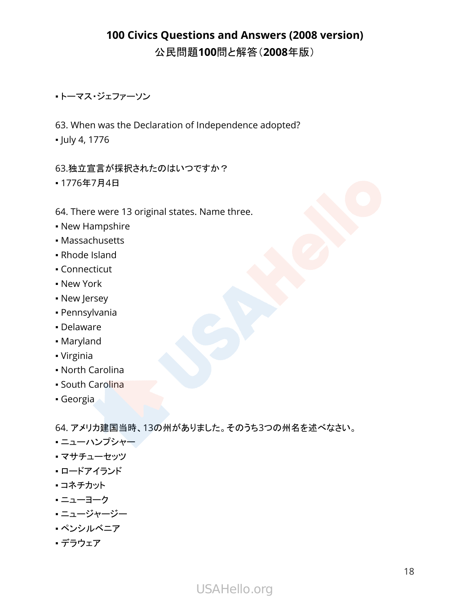#### ▪ トーマス・ジェファーソン

63. When was the Declaration of Independence adopted?

▪ July 4, 1776

#### 63.独立宣言が採択されたのはいつですか?

▪ 1776年7月4日

#### 64. There were 13 original states. Name three.

- New Hampshire
- Massachusetts
- Rhode Island
- Connecticut
- New York
- **New Jersey**
- Pennsylvania
- Delaware
- Maryland
- Virginia
- North Carolina
- South Carolina
- Georgia

64. アメリカ建国当時、13の州がありました。そのうち3つの州名を述べなさい。

- ニューハンプシャー
- マサチューセッツ
- ロードアイランド
- コネチカット
- ニューヨーク
- **・ニュージャージー**
- ペンシルベニア
- デラウェア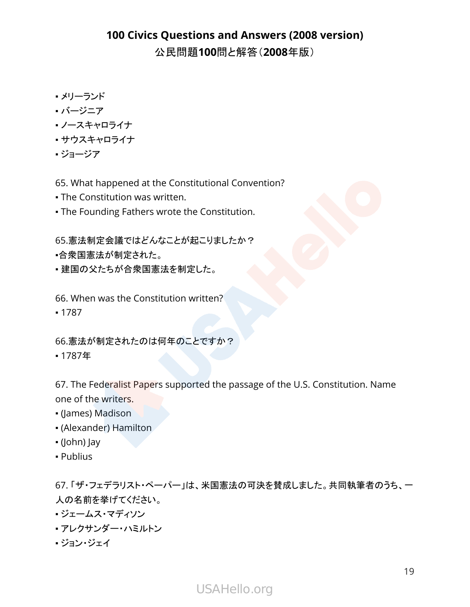- メリーランド
- バージニア
- ノースキャロライナ
- サウスキャロライナ
- ジョージア

65. What happened at the Constitutional Convention?

- **The Constitution was written.**
- **The Founding Fathers wrote the Constitution.**

65.憲法制定会議ではどんなことが起こりましたか?

- •合衆国憲法が制定された。
- 建国の父たちが合衆国憲法を制定した。

66. When was the Constitution written?

▪ 1787

66.憲法が制定されたのは何年のことですか?

▪ 1787年

67. The Federalist Papers supported the passage of the U.S. Constitution. Name one of the writers.

- (James) Madison
- (Alexander) Hamilton
- (John) Jay
- Publius

67. 「ザ・フェデラリスト・ペーパー」は、米国憲法の可決を賛成しました。共同執筆者のうち、一 人の名前を挙げてください。

- ジェームス・マディソン
- アレクサンダー・ハミルトン
- ジョン・ジェイ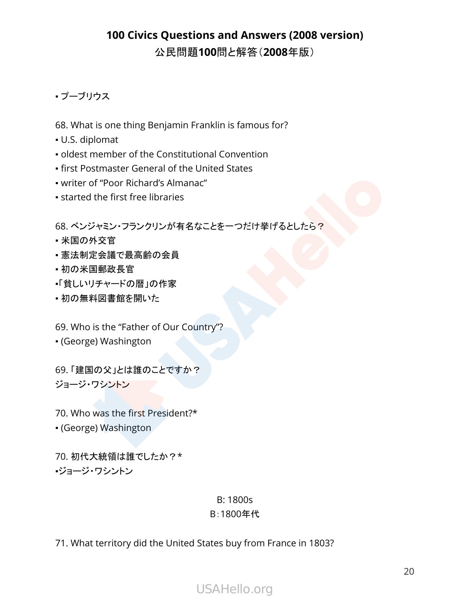#### • プーブリウス

- 68. What is one thing Benjamin Franklin is famous for?
- U.S. diplomat
- oldest member of the Constitutional Convention
- **first Postmaster General of the United States**
- writer of "Poor Richard's Almanac"
- **Example 1 started the first free libraries**

68. ベンジャミン・フランクリンが有名なことを一つだけ挙げるとしたら?

- 米国の外交官
- 憲法制定会議で最高齢の会員
- 初の米国郵政長官
- •「貧しいリチャードの暦」の作家
- 初の無料図書館を開いた

69. Who is the "Father of Our Country"?

▪ (George) Washington

69. 「建国の父」とは誰のことですか? ジョージ・ワシントン

70. Who was the first President?\*

▪ (George) Washington

70. 初代大統領は誰でしたか?\* ▪ジョージ・ワシントン

#### B: 1800s

#### B:1800年代

71. What territory did the United States buy from France in 1803?

# USAHello.org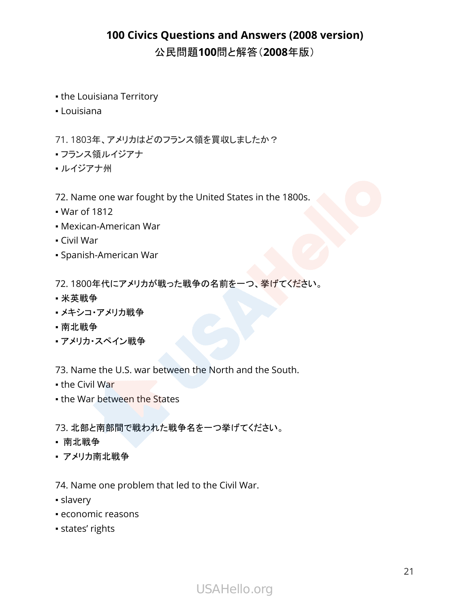- the Louisiana Territory
- Louisiana

71. 1803年、アメリカはどのフランス領を買収しましたか?

- フランス領ルイジアナ
- •ルイジアナ州

72. Name one war fought by the United States in the 1800s.

- War of 1812
- Mexican-American War
- Civil War
- Spanish-American War

72. 1800年代にアメリカが戦った戦争の名前を一つ、挙げてください。

- 米英戦争
- メキシコ・アメリカ戦争
- 南北戦争
- アメリカ・スペイン戦争

73. Name the U.S. war between the North and the South.

- $\bullet$  the Civil War
- the War between the States

73. 北部と南部間で戦われた戦争名を一つ挙げてください。

- 南北戦争
- アメリカ南北戦争

74. Name one problem that led to the Civil War.

- slavery
- economic reasons
- states' rights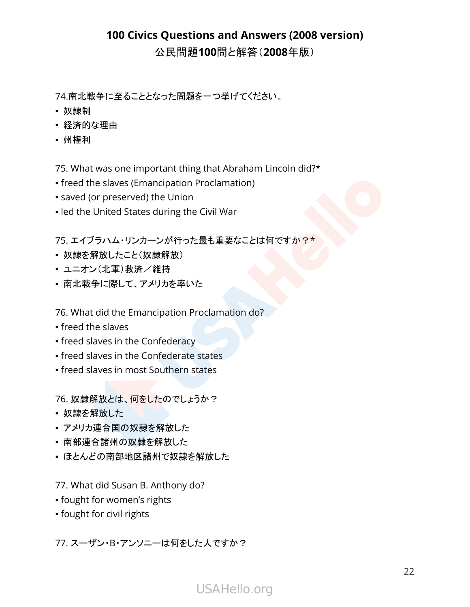74.南北戦争に至ることとなった問題を一つ挙げてください。

- 奴隷制
- 経済的な理由
- 州権利

75. What was one important thing that Abraham Lincoln did?\*

- freed the slaves (Emancipation Proclamation)
- saved (or preserved) the Union
- . led the United States during the Civil War

75. エイブラハム・リンカーンが行った最も重要なことは何ですか?\*

- 奴隷を解放したこと(奴隷解放)
- ユニオン(北軍)救済/維持
- 南北戦争に際して、アメリカを率いた

76. What did the Emancipation Proclamation do?

- freed the slaves
- **freed slaves in the Confederacy**
- **freed slaves in the Confederate states**
- freed slaves in most Southern states

76. 奴隷解放とは、何をしたのでしょうか?

- 奴隷を解放した
- アメリカ連合国の奴隷を解放した
- 南部連合諸州の奴隷を解放した
- ほとんどの南部地区諸州で奴隷を解放した

77. What did Susan B. Anthony do?

- fought for women's rights
- fought for civil rights

77. スーザン・B・アンソニーは何をした人ですか?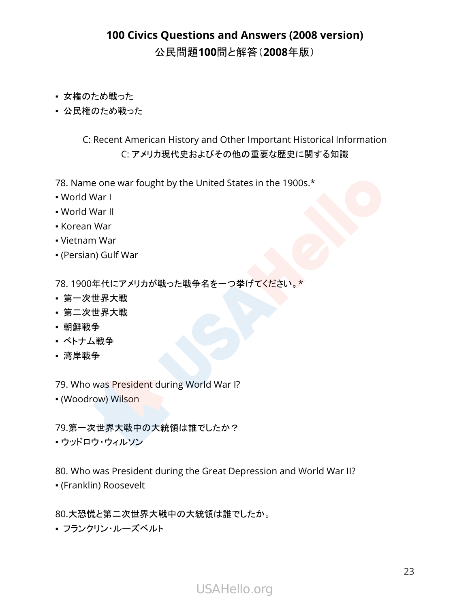- 女権のため戦った
- 公民権のため戦った

#### C: Recent American History and Other Important Historical Information C: アメリカ現代史およびその他の重要な歴史に関する知識

78. Name one war fought by the United States in the 1900s.\*

- World War I
- World War II
- Korean War
- Vietnam War
- (Persian) Gulf War

78. 1900年代にアメリカが戦った戦争名を一つ挙げてください。\*

- 第一次世界大戦
- 第二次世界大戦
- 朝鮮戦争
- ベトナム戦争
- 湾岸戦争

79. Who was President during World War I?

▪ (Woodrow) Wilson

79.第一次世界大戦中の大統領は誰でしたか?

▪ ウッドロウ・ウィルソン

80. Who was President during the Great Depression and World War II?

▪ (Franklin) Roosevelt

80.大恐慌と第二次世界大戦中の大統領は誰でしたか。

▪ フランクリン・ルーズベルト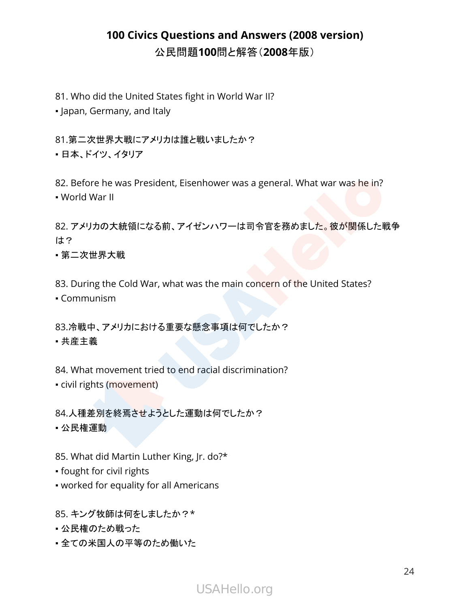81. Who did the United States fight in World War II?

▪ Japan, Germany, and Italy

81.第二次世界大戦にアメリカは誰と戦いましたか?

• 日本、ドイツ、イタリア

82. Before he was President, Eisenhower was a general. What war was he in? ▪ World War II

82. アメリカの大統領になる前、アイゼンハワーは司令官を務めました。彼が関係した戦争 は?

▪ 第二次世界大戦

83. During the Cold War, what was the main concern of the United States?

▪ Communism

83.冷戦中、アメリカにおける重要な懸念事項は何でしたか? ▪ 共産主義

84. What movement tried to end racial discrimination?

▪ civil rights (movement)

84.人種差別を終焉させようとした運動は何でしたか?

▪ 公民権運動

85. What did Martin Luther King, Jr. do?\*

▪ fought for civil rights

▪ worked for equality for all Americans

85. キング牧師は何をしましたか?\*

• 公民権のため戦った

•全ての米国人の平等のため働いた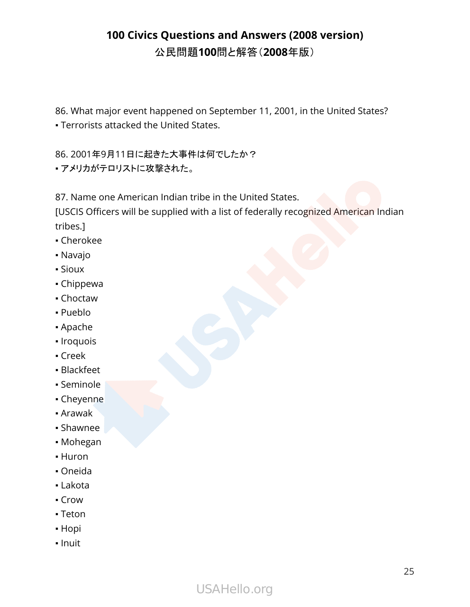86. What major event happened on September 11, 2001, in the United States?

▪ Terrorists attacked the United States.

86. 2001年9月11日に起きた大事件は何でしたか?

• アメリカがテロリストに攻撃された。

87. Name one American Indian tribe in the United States.

[USCIS Officers will be supplied with a list of federally recognized American Indian tribes.]

- Cherokee
- Navajo
- Sioux
- Chippewa
- Choctaw
- Pueblo
- Apache
- Iroquois
- Creek
- Blackfeet
- Seminole
- Cheyenne
- Arawak
- Shawnee
- Mohegan
- Huron
- Oneida
- Lakota
- Crow
- Teton
- Hopi
- Inuit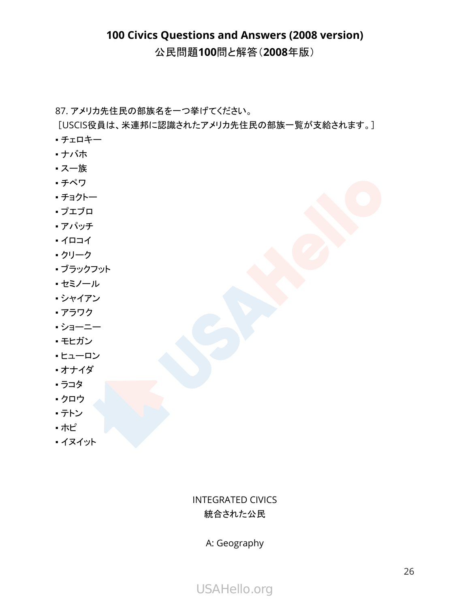87. アメリカ先住民の部族名を一つ挙げてください。

[USCIS役員は、米連邦に認識されたアメリカ先住民の部族一覧が支給されます。]

- チェロキー
- ナバホ
- スー族
- チペワ
- チョクトー
- プエブロ
- アパッチ
- イロコイ
- クリーク
- ブラックフット
- セミノール
- シャイアン
- アラワク
- ショーニー
- モヒガン
- ヒューロン
- オナイダ
- ラコタ
- クロウ
- テトン
- ホピ
- イヌイット

#### INTEGRATED CIVICS 統合された公民

A: Geography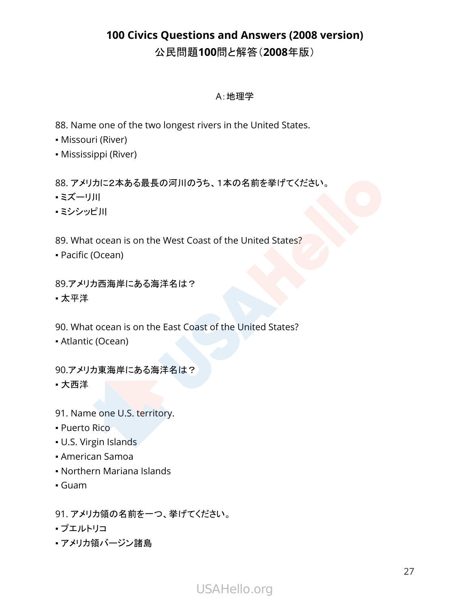#### A:地理学

88. Name one of the two longest rivers in the United States.

- Missouri (River)
- Mississippi (River)

88. アメリカに2本ある最長の河川のうち、1本の名前を挙げてください。

- ミズーリ川
- ミシシッピ川
- 89. What ocean is on the West Coast of the United States?
- Pacific (Ocean)

89.アメリカ西海岸にある海洋名は?

• 太平洋

90. What ocean is on the East Coast of the United States?

▪ Atlantic (Ocean)

90.アメリカ東海岸にある海洋名は?

▪ 大西洋

- 91. Name one U.S. territory.
- Puerto Rico
- U.S. Virgin Islands
- American Samoa
- Northern Mariana Islands
- Guam

91. アメリカ領の名前を一つ、挙げてください。

- プエルトリコ
- アメリカ領バージン諸島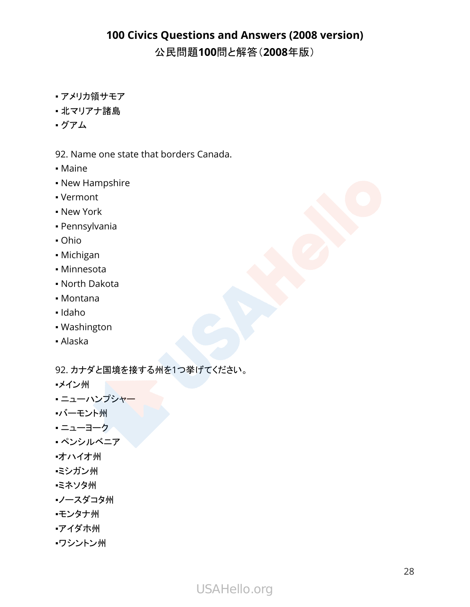- アメリカ領サモア
- 北マリアナ諸島
- グアム

92. Name one state that borders Canada.

- Maine
- New Hampshire
- Vermont
- New York
- Pennsylvania
- Ohio
- Michigan
- Minnesota
- North Dakota
- Montana
- Idaho
- Washington
- Alaska

92. カナダと国境を接する州を1つ挙げてください。

- ▪メイン州
- **・ニューハンプシャー**
- ▪バーモント州
- ニューヨーク
- ペンシルベニア
- ▪オハイオ州
- ▪ミシガン州
- ▪ミネソタ州
- ▪ノースダコタ州
- ▪モンタナ州
- ▪アイダホ州
- ▪ワシントン州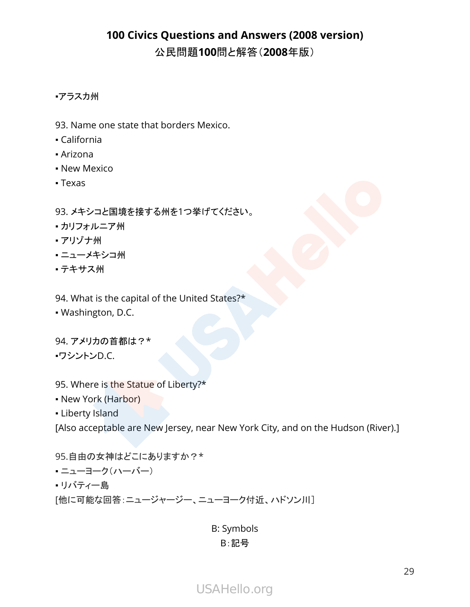#### •アラスカ州

- 93. Name one state that borders Mexico.
- California
- Arizona
- New Mexico
- Texas

#### 93. メキシコと国境を接する州を1つ挙げてください。

- カリフォルニア州
- アリゾナ州
- ニューメキシコ州
- テキサス州

#### 94. What is the capital of the United States?\*

▪ Washington, D.C.

94. アメリカの首都は?\* ▪ワシントンD.C.

- 95. Where is the Statue of Liberty?\*
- New York (Harbor)
- **Liberty Island**

[Also acceptable are New Jersey, near New York City, and on the Hudson (River).]

95.自由の女神はどこにありますか?\* ▪ ニューヨーク(ハーバー) • リバティー島 [他に可能な回答:ニュージャージー、ニューヨーク付近、ハドソン川]

> B: Symbols B:記号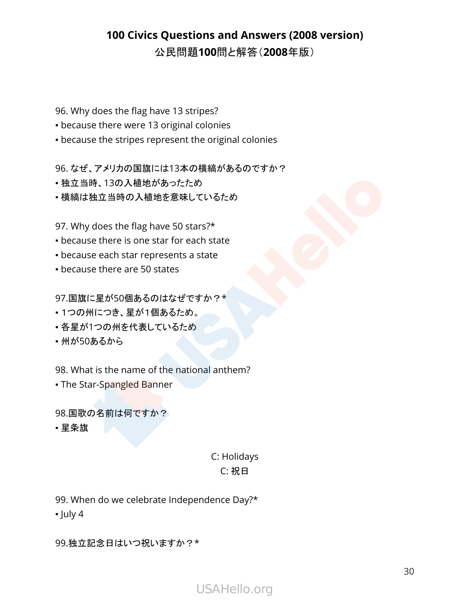96. Why does the flag have 13 stripes?

- **because there were 13 original colonies**
- because the stripes represent the original colonies

96. なぜ、アメリカの国旗には13本の横縞があるのですか?

- 独立当時、13の入植地があったため
- 横縞は独立当時の入植地を意味しているため

97. Why does the flag have 50 stars?\*

- **because there is one star for each state**
- because each star represents a state
- **because there are 50 states**

97.国旗に星が50個あるのはなぜですか?\*

- 1つの州につき、星が1個あるため。
- 各星が1つの州を代表しているため
- 州が50あるから

98. What is the name of the national anthem?

• The Star-Spangled Banner

98.国歌の名前は何ですか?

▪ 星条旗

#### C: Holidays C: 祝日

99. When do we celebrate Independence Day?\*

 $\blacksquare$  July 4

99.独立記念日はいつ祝いますか?\*